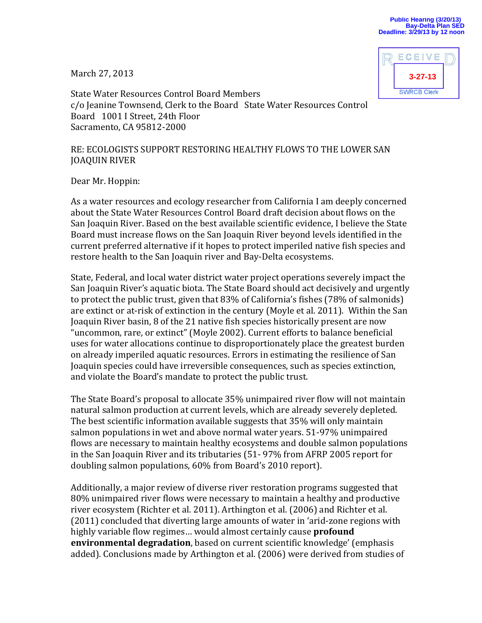March 27, 2013



State Water Resources Control Board Members c/o Jeanine Townsend, Clerk to the Board State Water Resources Control Board 1001 I Street, 24th Floor Sacramento, CA 95812-2000

## RE: ECOLOGISTS SUPPORT RESTORING HEALTHY FLOWS TO THE LOWER SAN JOAQUIN RIVER

Dear Mr. Hoppin:

As a water resources and ecology researcher from California I am deeply concerned about the State Water Resources Control Board draft decision about flows on the San Joaquin River. Based on the best available scientific evidence, I believe the State Board must increase flows on the San Joaquin River beyond levels identified in the current preferred alternative if it hopes to protect imperiled native fish species and restore health to the San Joaquin river and Bay-Delta ecosystems.

State, Federal, and local water district water project operations severely impact the San Joaquin River's aquatic biota. The State Board should act decisively and urgently to protect the public trust, given that 83% of California's fishes (78% of salmonids) are extinct or at-risk of extinction in the century (Moyle et al. 2011). Within the San Joaquin River basin, 8 of the 21 native fish species historically present are now "uncommon, rare, or extinct" (Moyle 2002). Current efforts to balance beneficial uses for water allocations continue to disproportionately place the greatest burden on already imperiled aquatic resources. Errors in estimating the resilience of San Joaquin species could have irreversible consequences, such as species extinction, and violate the Board's mandate to protect the public trust.

The State Board's proposal to allocate 35% unimpaired river flow will not maintain natural salmon production at current levels, which are already severely depleted. The best scientific information available suggests that 35% will only maintain salmon populations in wet and above normal water years. 51-97% unimpaired flows are necessary to maintain healthy ecosystems and double salmon populations in the San Joaquin River and its tributaries (51- 97% from AFRP 2005 report for doubling salmon populations, 60% from Board's 2010 report).

Additionally, a major review of diverse river restoration programs suggested that 80% unimpaired river flows were necessary to maintain a healthy and productive river ecosystem (Richter et al. 2011). Arthington et al. (2006) and Richter et al. (2011) concluded that diverting large amounts of water in 'arid-zone regions with highly variable flow regimes… would almost certainly cause **profound environmental degradation**, based on current scientific knowledge' (emphasis added). Conclusions made by Arthington et al. (2006) were derived from studies of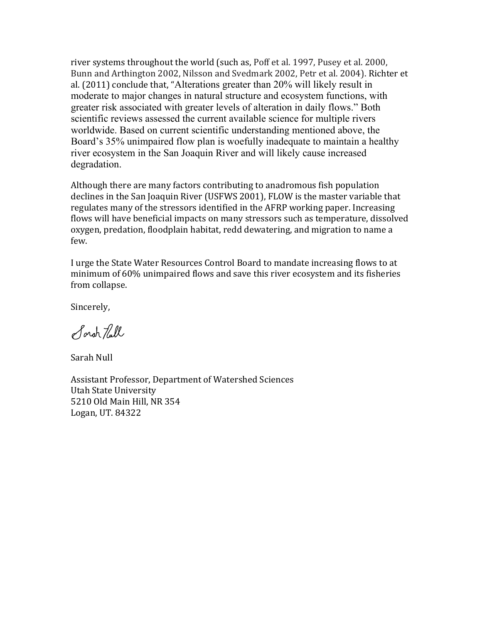river systems throughout the world (such as, Poff et al. 1997, Pusey et al. 2000, Bunn and Arthington 2002, Nilsson and Svedmark 2002, Petr et al. 2004). Richter et al. (2011) conclude that, "Alterations greater than 20% will likely result in moderate to major changes in natural structure and ecosystem functions, with greater risk associated with greater levels of alteration in daily flows." Both scientific reviews assessed the current available science for multiple rivers worldwide. Based on current scientific understanding mentioned above, the Board's 35% unimpaired flow plan is woefully inadequate to maintain a healthy river ecosystem in the San Joaquin River and will likely cause increased degradation.

Although there are many factors contributing to anadromous fish population declines in the San Joaquin River (USFWS 2001), FLOW is the master variable that regulates many of the stressors identified in the AFRP working paper. Increasing flows will have beneficial impacts on many stressors such as temperature, dissolved oxygen, predation, floodplain habitat, redd dewatering, and migration to name a few.

I urge the State Water Resources Control Board to mandate increasing flows to at minimum of 60% unimpaired flows and save this river ecosystem and its fisheries from collapse.

Sincerely,

Sorah Tull

Sarah Null

Assistant Professor, Department of Watershed Sciences Utah State University 5210 Old Main Hill, NR 354 Logan, UT. 84322